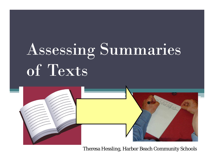# Assessing Summaries of Texts



Theresa Hessling, Harbor Beach Community Schools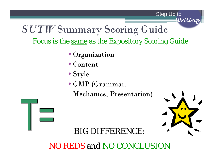Step Up to

*Writing*

#### *SUTW* Summary Scoring Guide Focus is the <u>same</u> as the Expository Scoring Guide

- Organization
- Content
- Style
- GMP (Grammar,
	- Mechanics, Presentation)



#### BIG DIFFERENCE:

#### NO REDS and NO CONCLUSION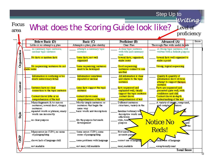Step Up to

Focus What does the Scoring Guide look like? Level of proficiency

|              | Below Basic (D)                                                                                                                          | Basic (C)                                                                                          | Proficient (B)                                                                                     | Advanced (A)                                                     | Score |
|--------------|------------------------------------------------------------------------------------------------------------------------------------------|----------------------------------------------------------------------------------------------------|----------------------------------------------------------------------------------------------------|------------------------------------------------------------------|-------|
|              | Little or no attempt a a plan                                                                                                            | Attempts a plan; plan sketchy                                                                      | Clear Plan                                                                                         | Thorough Flan with useful de <mark>sails</mark>                  |       |
|              | no summary topic sentence;<br>unclear topic sentence                                                                                     | attempts a summary topic<br>sentence                                                               | A clear topic sentence.<br>with title and summary<br>verb                                          | A Strong topic sentence; well<br>written with a definite purpose |       |
| Organization | No facts or random facts                                                                                                                 | Some facts; not well<br>organized                                                                  | Several facts; organized,<br>make serse                                                            | Several facts well organized to<br>make a point                  |       |
|              | No sequencing sentences do not<br>make serse                                                                                             | Some sequencing; sentences<br>need to be developed                                                 | Good sequencing<br>sentences connect to one<br>another                                             | Strong, logical sequencing                                       |       |
|              | Information is confusing or too<br>much unnecessary detail                                                                               | Information sometimes<br>repeated or unclear                                                       | All information is clear                                                                           | Quality & quantity of<br>information show obvious                |       |
| Content      |                                                                                                                                          |                                                                                                    | and relates to the topic<br>sentence                                                               | attempt to support thetopic.<br>sentence                         |       |
|              | Sentence have no clear<br>connection to the topic sentence                                                                               | some facts support the topic<br>sentence                                                           | facts sequenced and<br>explained well; clearly                                                     | Facts are sequenced and<br>presented quite well, with            |       |
|              |                                                                                                                                          |                                                                                                    | support the topic sentence                                                                         | confidence and skill                                             |       |
|              | Content shows little or no<br>comprehension of the text                                                                                  | content shows some<br>comprehension of the text                                                    | content shows<br>comprehension of text                                                             | Content shows in-depth<br>understanding of the text              |       |
| <b>Style</b> | Many fragments & /or nin-on<br>sentences; several short, choppy<br>sentences<br>repeated words or phrases; many<br>words use incorrectly | Mostly simple sentences or<br>sentences that begin the<br>same way<br>basic words and descriptions | Different sentences<br>structures; variety in the<br>familiar/ordinary wo<br>descriptive words use | A variety of simple, compound,<br>and complex<br>tences          |       |
|              | no clear purpose                                                                                                                         | fits the purpose but needs.<br>development                                                         | effectively<br>style, tone,<br>purpose                                                             | <b>Notice No</b><br><b>Reds!</b>                                 | and   |
|              | Many errors in CUPS; no sense                                                                                                            | Some errors CUPS; some                                                                             | Few emors:                                                                                         |                                                                  |       |
| e<br>Gr      | of paragraphing<br>shows lack of language skill                                                                                          | sense of paragraphing<br>some problems with larguage                                               | accurate paras<br>correct use of languag                                                           | use of language                                                  |       |
|              | not readable                                                                                                                             | not neat; still readable                                                                           | neat readable                                                                                      | exceptionally neat                                               |       |
|              |                                                                                                                                          |                                                                                                    |                                                                                                    | <b>Total Score</b>                                               |       |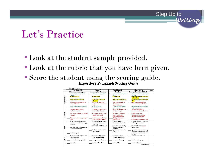#### Let's Practice

- Look at the student sample provided.
- Look at the rubric that you have been given.
- Score the student using the scoring guide.

|              | <b>Below Basic (D)</b>            | <b>Basic (C)</b>                                    | Proficient (B)                               | Advanced (A)                                       | Score |
|--------------|-----------------------------------|-----------------------------------------------------|----------------------------------------------|----------------------------------------------------|-------|
|              | Little or no attempt a a plan     | Attempts a plan; plan sketchy                       | <b>Clear Plan</b>                            | Thorough Plan with useful details                  |       |
|              | Topic Sentence is absent or       | Attempts a topic sentence                           | Topic Sentence clearly fits                  | Strong topic sentence clearly fits                 |       |
|              | unclear                           |                                                     | topic                                        | the topic                                          |       |
| Organization | Facts are undear                  | Facts are clear                                     | <b>Accurate</b> facts                        | Facts are shared with confidence                   |       |
|              |                                   |                                                     |                                              | and emphasis                                       |       |
|              | No or incorrect transitions       | Transitions are not used<br>effectively             | Transitions fit the pumose                   | Transitions smoothly connect all<br>ideas          |       |
|              | No examples/explanations to       | Few/Weak examples/                                  | Some good examples &                         | Many examples; significant                         |       |
|              | support the topic                 | explanations to support the                         | clear explanations to                        | evidence to support the topic                      |       |
|              |                                   | topic                                               | support the topic                            |                                                    |       |
|              | No or inappropriate conclusion    | Weak conclusion                                     | Solid conclusion restates                    | Strong conclusion addresses the                    |       |
|              |                                   |                                                     | topic sentence                               | topic in a new way                                 |       |
|              | Not enough information;           | Repeated information or it                          | All information relates to                   | Quality and quantity of                            |       |
|              | unclear information.              | wanders from the topic                              | the prompt/topic                             | information educates the reader                    |       |
| Content      |                                   |                                                     |                                              |                                                    |       |
|              | Inaccurate, confusing, or omitted | Incomplete examples; need<br>further clarification. | Examples/explanations<br>help reader clearly | highly accurate and,                               |       |
|              | examples                          |                                                     | understand the topic                         | explanations, interesting<br>examples and evidence |       |
|              | No dear connection to prompt/     | Accurate response, but topic                        | Cleady addresses the                         |                                                    |       |
|              | topic                             | is not developed enough                             | prompt/topic                                 | Fully develops a prompt or topic                   |       |
|              | Many fragments & /or run-on       | Mostly simple sentences or                          | Different sentences                          | A variety of simple, compound,                     |       |
|              | sentences; several short, choppy  | sentences that begin the                            | structures; variety in the                   | and complex sentences                              |       |
|              | sentences                         | same way                                            |                                              |                                                    |       |
|              |                                   | basic words and descriptions                        | familiar/ordinary words;                     | rich words & contentvocab                          |       |
| Style        | repeated words or phrases; many   |                                                     | descriptive words use                        | enzaze reader                                      |       |
|              | words use incorrectly             |                                                     | effectively                                  |                                                    |       |
|              |                                   | fits the purpose butneeds                           | style, tone, and voice fit                   | style, tone, and voice accurately                  |       |
|              |                                   | development                                         | purpose                                      | fit purpose, specific words and                    |       |
|              | no clear purpose                  |                                                     |                                              | sentence structures enhance the<br>szo crurc       |       |
|              | Many errors in CUPS; no sense     | Some errors CUPS; some                              | Few errors in CUPS:                          | Minimal errors in CUPS                             |       |
|              | of paragraphing                   | sense of paragraphing                               | accurate paragraphing                        |                                                    |       |
|              |                                   |                                                     |                                              |                                                    |       |
| GMP          | shows lack of language skill      | some problems with language                         | correctuse of language                       | skilled use of language                            |       |
|              |                                   |                                                     |                                              |                                                    |       |
|              | notreadable                       | not neat; still readable                            | neat, readable                               | exceptionally neat                                 |       |
|              |                                   |                                                     |                                              | Total Smre                                         |       |

Step Up to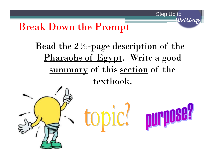*Writing* Break Down the Prompt

## Read the  $2\frac{1}{2}$ -page description of the Pharaohs of Egypt. Write a good summary of this section of the textbook.

Step Up to

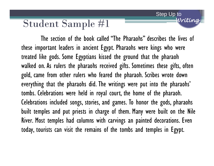The section of the book called "The Pharaohs" describes the lives of these important leaders in ancient Egypt. Pharaohs were kings who were treated like gods. Some Egyptians kissed the ground that the pharaoh walked on. As rulers the pharaohs received gifts. Sometimes these gifts, often gold, came from other rulers who feared the pharaoh. Scribes wrote down everything that the pharaohs did. The writings were put into the pharaohs' tombs. Celebrations were held in royal court, the home of the pharaoh. Celebrations included songs, stories, and games. To honor the gods, pharaohs built temples and put priests in charge of them. Many were built on the Nile River. Most temples had columns with carvings an painted decorations. Even today, tourists can visit the remains of the tombs and temples in Egypt.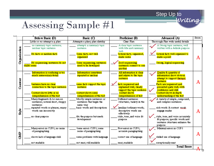# Assessing Sample #1

|                  | Below Basic (D)                                                                                                                          | Basic (C)                                                                                          | Proficient (B)                                                                                         | Advanced (A)                                                                                                             | S <sub>0</sub> |
|------------------|------------------------------------------------------------------------------------------------------------------------------------------|----------------------------------------------------------------------------------------------------|--------------------------------------------------------------------------------------------------------|--------------------------------------------------------------------------------------------------------------------------|----------------|
|                  | Little or no attempt a a plan                                                                                                            | Attempts a plan; plan sketchy                                                                      | Clear Flan                                                                                             | Thorough Flan with useful details                                                                                        |                |
|                  | no summary topic sentence;<br>unclear topic sentence.                                                                                    | attempts a summary topic.<br>sentence                                                              | A clear topic sentence.<br>with title and summary<br>verb                                              | A Strong topic sentence; well<br>$\rightarrow$<br>written with a definite purpose                                        |                |
| Organization     | No facts or random facts                                                                                                                 | Some facts; not well<br>organized                                                                  | Several facts; organized,<br>make serse                                                                | Several facts well organized to<br>make a point                                                                          | A              |
|                  | No sequencing sentences do not<br>make sense                                                                                             | Some sequencing; sentences<br>need to be developed                                                 | Good sequencing<br>sentences connect to one<br>another                                                 | Strong, logical sequencing                                                                                               |                |
|                  | Information is confusing or too<br>much unnecessary detail                                                                               | Information sometimes<br>repeated or unclear                                                       | All information is clear<br>and relates to the topic<br>sentence                                       | Quality & quantity of<br>$\overline{\mathbf{v}}$<br>information show obvious<br>attempt to support thetopic.<br>sentence |                |
| Content          | Sentence have no clear<br>connection to the topic sentence<br>Content shows little or no                                                 | some facts support the topic<br>sentence<br>content shows some                                     | facts sequenced and<br>explained well; clearly<br>support the topic sentence<br>content shows          | Facts are sequenced and<br>presented quite well, with<br>confidence and skill<br>Content shows <del>i</del> n-depth      |                |
|                  | comprehension of the text                                                                                                                | comprehension of the text                                                                          | comprehension of text                                                                                  | understanding of the text                                                                                                |                |
| Style            | Many fragments & /or nin-on<br>sentences; several short, choppy<br>sentences<br>repeated words or phrases; many<br>words use incorrectly | Mostly simple sentences or<br>sentences that begin the<br>same way<br>basic words and descriptions | Different sentences<br>structures; variety in the<br>familiar/ordinary words;<br>descriptive words use | A variety of simple, compound,<br>$\rightarrow$<br>and complex sentences<br>rich words & content magab.<br>engage reader | A              |
|                  | no clear purpose                                                                                                                         | fits the purpose but needs.<br>development                                                         | effectively<br>style, tone, and voice fit<br>purpose                                                   | style, tone, and voice accurately<br>fit purpose; specific words and<br>sentence structures enhance the<br>purpose       |                |
|                  | Many errors in CUPS; no sense                                                                                                            | Some errors CUPS; some                                                                             | Fewerors in CUPS;                                                                                      | Minimal errors in CUPS                                                                                                   |                |
| CMP <sub>O</sub> | of paragraphing<br>shows lack of language skill                                                                                          | sense of paragraphing<br>some problems with larguage                                               | accurate paragraphing<br>correct use of language                                                       | skilled use of language                                                                                                  |                |
|                  | not readable                                                                                                                             | not neat; still readable                                                                           | neat, readable                                                                                         | exceptionally neat                                                                                                       |                |
|                  |                                                                                                                                          |                                                                                                    |                                                                                                        | <b>Total Score</b>                                                                                                       |                |

A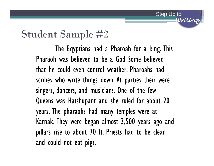The Eqyptians had a Pharoah for a king. This Pharaoh was believed to be a God Some believed that he could even control weather. Pharoahs had scribes who write things down. At parties their were singers, dancers, and musicians. One of the few Queens was Hatshupant and she ruled for about 20 years. The pharaohs had many temples were at Karnak. They were began almost 3,500 years ago and pillars rise to about 70 ft. Priests had to be clean and could not eat pigs.

Step Up to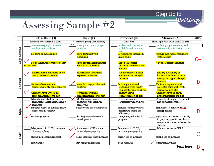# Assessing Sample #2

|              | Below Basic (D)                                                                                                                                              | Basic (C)                                                                                                                                       | Proficient (B)                                                                                                                                                 | Advanced (A)                                                                                                                                                                    | <b>Score</b> |
|--------------|--------------------------------------------------------------------------------------------------------------------------------------------------------------|-------------------------------------------------------------------------------------------------------------------------------------------------|----------------------------------------------------------------------------------------------------------------------------------------------------------------|---------------------------------------------------------------------------------------------------------------------------------------------------------------------------------|--------------|
|              | Little or no attempt a a plan                                                                                                                                | Attempts a plan; plan sketchy                                                                                                                   | Clear Flan                                                                                                                                                     | Thorough Flan with useful details                                                                                                                                               |              |
|              | no summary topic sentence;<br>unclear topic sentence.                                                                                                        | attempts a summary topic<br>sentence                                                                                                            | A clear topic sentence<br>with title and summary<br>verb                                                                                                       | A Strong topic sentence; well<br>written with a definite purpose                                                                                                                |              |
| Organization | No facts or random facts                                                                                                                                     | Some facts; not well<br>organized                                                                                                               | Several facts; organized,<br>make serse                                                                                                                        | Several facts well organized to<br>make a point                                                                                                                                 | C+           |
|              | No sequencing sentences do not<br>make serse                                                                                                                 | Some sequencing; sentences<br>need to be developed                                                                                              | Good sequencing<br>sentences connect to one<br>another                                                                                                         | Strong, logical sequencing                                                                                                                                                      |              |
|              | Information is confusing or too<br>much unnecessary detail                                                                                                   | Information sometimes<br>repeated or unclear                                                                                                    | All information is clear<br>and relates to the topic<br>sentence                                                                                               | Quality & quantity of<br>information show obvious<br>attempt to support thetopic.<br>sentence                                                                                   |              |
| Content      | Sentence have no clear<br>connection to the topic sentence<br>Content shows little or no<br>comprehension of the text                                        | some facts support the topic<br>sentence<br>content shows some<br>comprehension of the text                                                     | facts sequenced and<br>explained well; cleady<br>support the topic sentence<br>content shows<br>comprehension of text                                          | Facts are sequenced and<br>presented quite well, with<br>confidence and skill<br>Content shows in-depth<br>understanding of the text                                            |              |
| Style        | Many fragments & /or nin-on<br>sentences; several short, choppy<br>sentences<br>repeated words or phrases; many<br>words use incorrectly<br>no clear purpose | Mostly simple sentences or<br>sentences that begin the<br>same way<br>basic words and descriptions<br>fits the purpose but needs<br>development | Different sentences<br>structures; variety in the<br>familiar/ordinary words;<br>descriptive words use<br>effectively<br>style, tone, and voice fit<br>purpose | A variety of simple, compound,<br>and complex sentences<br>rich words & content magab.<br>engage reader<br>style, tone, and voice accurately<br>fit purpose; specific words and |              |
|              |                                                                                                                                                              |                                                                                                                                                 |                                                                                                                                                                | sentence structures enhance the<br>purpose                                                                                                                                      |              |
| e<br>Gr      | Many errors in CUPS; no sense<br>of paragraphing                                                                                                             | Some errors CUPS; some<br>sense of paragraphing                                                                                                 | Few errors in CUPS;<br>accurate paragraphing                                                                                                                   | Minimal errors in CUPS                                                                                                                                                          |              |
|              | shows lack of language skill<br>not readable                                                                                                                 | some problems with larguage<br>not neat; still readable                                                                                         | correct use of language<br>neat, readable                                                                                                                      | skilled use of language<br>exceptionally neat                                                                                                                                   |              |
|              |                                                                                                                                                              |                                                                                                                                                 |                                                                                                                                                                | <b>Total Score</b>                                                                                                                                                              |              |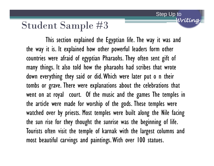This section explained the Egyptian life. The way it was and the way it is. It explained how other powerful leaders form other countries were afraid of egyptian Pharaohs. They often sent gift of many things. It also told how the pharaohs had scribes that wrote down everything they said or did. Which were later put o n their tombs or grave. There were explanations about the celebrations that went on at royal court. Of the music and the games The temples in the article were made for worship of the gods. These temples were watched over by priests. Most temples were built along the Nile facing the sun rise for they thought the sunrise was the beginning of life. Tourists often visit the temple of karnak with the largest columns and most beautiful carvings and paintings. With over 100 statues.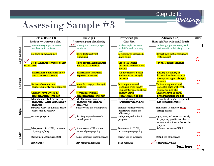# Assessing Sample #3

|              | Below Basic (D)                                                                                                 | Basic (C)                                                                                          | Proficient (B)                                                                | Advanced (A)                                                                                                       | <b>Score</b> |
|--------------|-----------------------------------------------------------------------------------------------------------------|----------------------------------------------------------------------------------------------------|-------------------------------------------------------------------------------|--------------------------------------------------------------------------------------------------------------------|--------------|
|              | Little or no attempt a a plan                                                                                   | Attempts a plan; plan sketchy                                                                      | Clear Flan                                                                    | Thorough Flan with useful details                                                                                  |              |
|              | no summary topic sentence;<br>unclear topic sentence.                                                           | attempts a summary topic<br>sentence                                                               | A clear topic sentence<br>with title and summary<br>verb                      | A Strong topic sentence; well<br>written with a definite purpose                                                   |              |
| Organization | No facts or random facts                                                                                        | Some facts; not well<br>organized                                                                  | Several facts; organized,<br>make serse                                       | Several facts well organized to<br>make a point                                                                    |              |
|              | No sequencing sentences do not<br>make serse.                                                                   | Some sequencing; sentences<br>need to be developed                                                 | Good sequencing<br>sentences connect to one<br>another                        | Strong, logical sequencing                                                                                         |              |
|              | Information is confusing or too<br>much unnecesary detail                                                       | Information sometimes<br>repeated or unclear                                                       | All information is clear<br>and relates to the topic<br>sentence              | Quality & quantity of<br>information show obvious<br>attempt to support thetopic.<br>sentence                      |              |
| Content      | Sentence have no clear<br>connection to the topic sentence                                                      | some facts support the topic<br>sentence                                                           | facts sequenced and<br>explained well; cleady<br>support the topic sentence   | Facts are sequenced and<br>presented quite well, with<br>confidence and skill                                      |              |
|              | Content shows little or no<br>comprehension of the text                                                         | content shows some<br>comprehension of the text                                                    | content shows<br>comprehension of text                                        | Content shows in-depth<br>understanding of the text                                                                |              |
|              | Many fragments & /or nin-on<br>sentences; several short, choppy<br>sentences<br>repeated words or phrases; many | Mostly simple sentences or<br>sentences that begin the<br>same way<br>basic words and descriptions | Different sentences<br>structures; variety in the<br>familiar/ordinary words; | A variety of simple, compound,<br>and complex sentences<br>rich words & content macab.                             |              |
| Style        | words use incorrectly                                                                                           |                                                                                                    | descriptive words use<br>effectively                                          | engage reader                                                                                                      |              |
|              | no clear purpose                                                                                                | fits the purpose but needs.<br>development                                                         | style, tone, and voice fit<br>purpose                                         | style, tone, and voice accurately<br>fit purpose; specific words and<br>sentence structures enhance the<br>purpose |              |
|              | Many errors in CUPS; no sense<br>of paragraphing                                                                | Some errors CUPS; some<br>sense of paragraphing                                                    | Fewerors in CUPS;<br>accurate paragraphing                                    | Minimal errors in CUPS                                                                                             |              |
| e<br>G       | shows lack of language skill                                                                                    | some problems with larguage                                                                        | correct use of language                                                       | skilled use of language                                                                                            |              |
|              | not readable                                                                                                    | not neat; still readable                                                                           | neat, readable                                                                | exceptionally neat                                                                                                 |              |
|              |                                                                                                                 |                                                                                                    |                                                                               | <b>Total Score</b>                                                                                                 |              |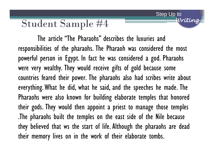The article "The Pharaohs" describes the luxuries and responsibilities of the pharaohs. The Pharaoh was considered the most powerful person in Egypt. In fact he was considered a god. Pharaohs were very wealthy. They would receive gifts of gold because some countries feared their power. The pharaohs also had scribes write about everything. What he did, what he said, and the speeches he made. The Pharaohs were also known for building elaborate temples that honored their gods. They would then appoint a priest to manage those temples .The pharaohs built the temples on the east side of the Nile because they believed that ws the start of life. Although the pharaohs are dead their memory lives on in the work of their elaborate tombs.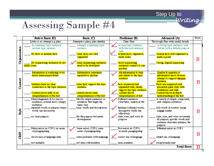Step Up to<br>Writing

# Assessing Sample #4

|  |              | <b>Below Basic (D)</b>                                                                                                                                                                    | Basic (C)                                                                                                                                       | Proficient (B)                                                                                                                                                                         | Advanced (A)                                                                                                                                                                                                                                               | Score |
|--|--------------|-------------------------------------------------------------------------------------------------------------------------------------------------------------------------------------------|-------------------------------------------------------------------------------------------------------------------------------------------------|----------------------------------------------------------------------------------------------------------------------------------------------------------------------------------------|------------------------------------------------------------------------------------------------------------------------------------------------------------------------------------------------------------------------------------------------------------|-------|
|  |              | Little or no attempt a a plan                                                                                                                                                             | Attempts a plan; plan sketchy                                                                                                                   | Clear Flan                                                                                                                                                                             | Thorough Flan with useful details                                                                                                                                                                                                                          |       |
|  |              | no summary topic sentence;<br>unclear topic sentence                                                                                                                                      | attempts a summary topic.<br>sentence                                                                                                           | A clear topic sentence<br>with title and summary<br>verb                                                                                                                               | A Strong topic sentence; well<br>written with a definite purpose                                                                                                                                                                                           |       |
|  | Organization | No facts or random facts                                                                                                                                                                  | Some facts; not well<br>organized                                                                                                               | Several facts; organized,<br>make sense                                                                                                                                                | Several facts well organized to<br>make a point                                                                                                                                                                                                            | B     |
|  |              | No sequencing sentences do not<br>make sense                                                                                                                                              | ome sequencing; sentences<br>need to be developed                                                                                               | Good sequencing<br>sentences connect to one<br>another                                                                                                                                 | Strong, logical sequencing                                                                                                                                                                                                                                 |       |
|  |              | Information is confusing or too<br>much unnecessary detail                                                                                                                                | Information sometimes<br>repeated or unclear                                                                                                    | All information is clear<br>and relates to the topic<br>sentence                                                                                                                       | Quality & quantity of<br>information show obvious<br>attempt to support thetonic.<br>sentence                                                                                                                                                              | B     |
|  | Content      | Sentence have no clear<br>connection to the topic sentence<br>Content shows little or no                                                                                                  | some facts support the topic<br>sentence<br>content shows some.<br>comprehension of the text                                                    | facts sequenced and<br>explained well; cleady<br>support the topic sentence<br>content shows                                                                                           | Facts are sequenced and<br>presented quite well, with<br>confidence and skill<br>Content shows in-depth                                                                                                                                                    |       |
|  | <b>Style</b> | comprehension of the text<br>Many fragments & /or nin-on<br>sentences; several short, choppy<br>sentences<br>repeated words or phrases; many<br>words use incorrectly<br>no clear purpose | Mostly simple sentences or<br>sentences that begin the<br>same way<br>basic words and descriptions<br>fits the purpose but needs<br>development | comprehension of ext<br>Different sentences<br>structures; variety in the<br>familiar/ordinary words;<br>descriptive words use<br>effectively<br>style, tone, and voice fit<br>purpose | understanding of the text<br>A variety of simple, compound,<br>and complex sentences<br>rich words & content mocab.<br>engage reader<br>style, tone, and voice accurately<br>fit purpose; specific words and<br>sentence structures enhance the<br>purpose | B     |
|  | e<br>Gr      | Many errors in CUPS; no sense<br>of paragraphing<br>shows lack of language skill<br>not readable                                                                                          | Some errors CUPS; some<br>sense of paragraphing<br>some problems with larguage<br>not reat; still readable                                      | Few errors in CUPS;<br>accurate paragraphing<br>correct use of language<br>neat readable                                                                                               | Minimal errors in CUPS<br>skilled use of language<br>exceptionally neat                                                                                                                                                                                    | B     |
|  |              |                                                                                                                                                                                           |                                                                                                                                                 |                                                                                                                                                                                        | <b>Total Score</b>                                                                                                                                                                                                                                         | B     |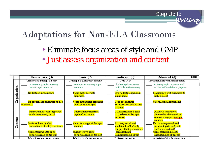#### Adaptations for Non-ELA Classrooms

• Eliminate focus areas of style and GMP

Step Up to

*Writing*

• Just assess organization and content

|              | <b>Below Basic (D)</b>                                      | Basic (C)                                          | Proficient (B)                                                               | Advanced (A)                                                                                  | Score |
|--------------|-------------------------------------------------------------|----------------------------------------------------|------------------------------------------------------------------------------|-----------------------------------------------------------------------------------------------|-------|
|              | Little or no attempt a g plan                               | Attempts a plan; plan sketchy                      | Clear Flan                                                                   | Thorough Flan with useful details                                                             |       |
|              | no summary topic sentence;<br>unclear topic sentence.       | attempts a summary topic.<br>sentence              | A clear topic sentence<br>with title and summary                             | A Strong topic sentence; well<br>written with a definite purpose                              |       |
| Organization | No facts or random facts                                    | Some facts; not well<br>organized                  | verb<br>Several facts; organized,<br>make serse                              | Several facts well organized to<br>make a point                                               |       |
|              | No sequencing sentences do not<br>make serse                | Some sequencing; sentences<br>need to be developed | Good sequencing<br>sentences connect to one<br>another                       | Strong, logical sequencing                                                                    |       |
|              | Information is confusing or too<br>much unnecessary detail. | Information sometimes<br>repeated or unclear       | All information is clear<br>and relates to the topic<br>sentence             | Quality & quantity of<br>information show obvious<br>attempt to support thetopic.<br>sentence |       |
| Content      | Sentence have no clear<br>connection to the topic sentence  | some facts support the topic<br>sentence           | facts sequenced and<br>explained well; clearly<br>support the topic sentence | Facts are sequenced and<br>presented quite well, with<br>confidence and skill.                |       |
|              | Content shows little or no<br>comprehension of the text     | content shows some<br>comprehension of the text    | content shows<br>comprehension of text                                       | Content shows in-depth<br>understanding of the text                                           |       |
|              | Many fragments & for mn.on.                                 | Mostly simula sentences or                         | Different sentences.                                                         | A registrafsimple compared                                                                    |       |